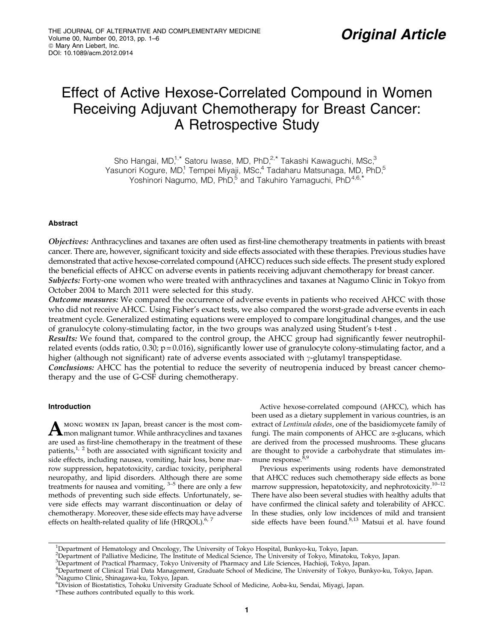# Effect of Active Hexose-Correlated Compound in Women Receiving Adjuvant Chemotherapy for Breast Cancer: A Retrospective Study

Sho Hangai, MD,<sup>1,\*</sup> Satoru Iwase, MD, PhD,<sup>2,\*</sup> Takashi Kawaguchi, MSc,<sup>3</sup> Yasunori Kogure, MD,<sup>1</sup> Tempei Miyaji, MSc,<sup>4</sup> Tadaharu Matsunaga, MD, PhD,<sup>5</sup> Yoshinori Nagumo, MD, PhD,<sup>5</sup> and Takuhiro Yamaguchi, PhD<sup>4,6,\*</sup>

## Abstract

Objectives: Anthracyclines and taxanes are often used as first-line chemotherapy treatments in patients with breast cancer. There are, however, significant toxicity and side effects associated with these therapies. Previous studies have demonstrated that active hexose-correlated compound (AHCC) reduces such side effects. The present study explored the beneficial effects of AHCC on adverse events in patients receiving adjuvant chemotherapy for breast cancer. Subjects: Forty-one women who were treated with anthracyclines and taxanes at Nagumo Clinic in Tokyo from

October 2004 to March 2011 were selected for this study.

Outcome measures: We compared the occurrence of adverse events in patients who received AHCC with those who did not receive AHCC. Using Fisher's exact tests, we also compared the worst-grade adverse events in each treatment cycle. Generalized estimating equations were employed to compare longitudinal changes, and the use of granulocyte colony-stimulating factor, in the two groups was analyzed using Student's t-test .

Results: We found that, compared to the control group, the AHCC group had significantly fewer neutrophilrelated events (odds ratio,  $0.30$ ;  $p = 0.016$ ), significantly lower use of granulocyte colony-stimulating factor, and a higher (although not significant) rate of adverse events associated with  $\gamma$ -glutamyl transpeptidase.

**Conclusions:** AHCC has the potential to reduce the severity of neutropenia induced by breast cancer chemotherapy and the use of G-CSF during chemotherapy.

# Introduction

A MONG WOMEN IN Japan, breast cancer is the most com-<br>mon malignant tumor. While anthracyclines and taxanes are used as first-line chemotherapy in the treatment of these patients, $1/2$  both are associated with significant toxicity and side effects, including nausea, vomiting, hair loss, bone marrow suppression, hepatotoxicity, cardiac toxicity, peripheral neuropathy, and lipid disorders. Although there are some treatments for nausea and vomiting,  $3-5$  there are only a few methods of preventing such side effects. Unfortunately, severe side effects may warrant discontinuation or delay of chemotherapy. Moreover, these side effects may have adverse effects on health-related quality of life  $(HRQOL)^{6, 7}$ 

Active hexose-correlated compound (AHCC), which has been used as a dietary supplement in various countries, is an extract of Lentinula edodes, one of the basidiomycete family of fungi. The main components of AHCC are  $\alpha$ -glucans, which are derived from the processed mushrooms. These glucans are thought to provide a carbohydrate that stimulates immune response.<sup>8,9</sup>

Previous experiments using rodents have demonstrated that AHCC reduces such chemotherapy side effects as bone marrow suppression, hepatotoxicity, and nephrotoxicity.10–12 There have also been several studies with healthy adults that have confirmed the clinical safety and tolerability of AHCC. In these studies, only low incidences of mild and transient side effects have been found.<sup>8,13</sup> Matsui et al. have found

<sup>&</sup>lt;sup>1</sup>Department of Hematology and Oncology, The University of Tokyo Hospital, Bunkyo-ku, Tokyo, Japan.

<sup>2</sup> Department of Palliative Medicine, The Institute of Medical Science, The University of Tokyo, Minatoku, Tokyo, Japan.

a<br>Pepartment of Practical Pharmacy, Tokyo University of Pharmacy and Life Sciences, Hachioji, Tokyo, Japan.<br>"Department of Clinical Trial Data Management, Graduate School of Medicine, The University of Tokyo, Bunkyo-ku, To 5 Nagumo Clinic, Shinagawa-ku, Tokyo, Japan.

<sup>6</sup> Division of Biostatistics, Tohoku University Graduate School of Medicine, Aoba-ku, Sendai, Miyagi, Japan.

<sup>\*</sup>These authors contributed equally to this work.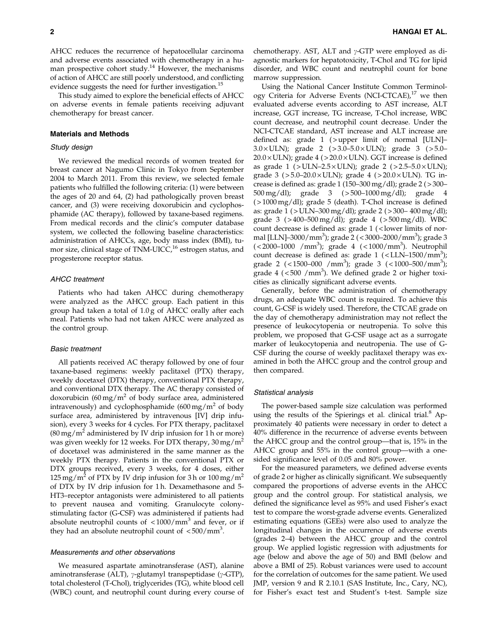AHCC reduces the recurrence of hepatocellular carcinoma and adverse events associated with chemotherapy in a human prospective cohort study. $14$  However, the mechanisms of action of AHCC are still poorly understood, and conflicting evidence suggests the need for further investigation.<sup>15</sup>

This study aimed to explore the beneficial effects of AHCC on adverse events in female patients receiving adjuvant chemotherapy for breast cancer.

#### Materials and Methods

## Study design

We reviewed the medical records of women treated for breast cancer at Nagumo Clinic in Tokyo from September 2004 to March 2011. From this review, we selected female patients who fulfilled the following criteria: (1) were between the ages of 20 and 64, (2) had pathologically proven breast cancer, and (3) were receiving doxorubicin and cyclophosphamide (AC therapy), followed by taxane-based regimens. From medical records and the clinic's computer database system, we collected the following baseline characteristics: administration of AHCCs, age, body mass index (BMI), tumor size, clinical stage of TNM-UICC,<sup>16</sup> estrogen status, and progesterone receptor status.

#### AHCC treatment

Patients who had taken AHCC during chemotherapy were analyzed as the AHCC group. Each patient in this group had taken a total of 1.0 g of AHCC orally after each meal. Patients who had not taken AHCC were analyzed as the control group.

#### Basic treatment

All patients received AC therapy followed by one of four taxane-based regimens: weekly paclitaxel (PTX) therapy, weekly docetaxel (DTX) therapy, conventional PTX therapy, and conventional DTX therapy. The AC therapy consisted of doxorubicin (60 mg/m<sup>2</sup> of body surface area, administered intravenously) and cyclophosphamide  $(600 \,\text{mg/m}^2)$  of body surface area, administered by intravenous [IV] drip infusion), every 3 weeks for 4 cycles. For PTX therapy, paclitaxel  $(80 \,\text{mg/m}^2)$  administered by IV drip infusion for 1 h or more) was given weekly for 12 weeks. For DTX therapy,  $30 \,\text{mg/m}^2$ of docetaxel was administered in the same manner as the weekly PTX therapy. Patients in the conventional PTX or DTX groups received, every 3 weeks, for 4 doses, either  $125 \,\text{mg/m}^2$  of PTX by IV drip infusion for 3 h or  $100 \,\text{mg/m}^2$ of DTX by IV drip infusion for 1 h. Dexamethasone and 5- HT3–receptor antagonists were administered to all patients to prevent nausea and vomiting. Granulocyte colonystimulating factor (G-CSF) was administered if patients had absolute neutrophil counts of  $\langle 1000/mm^3$  and fever, or if they had an absolute neutrophil count of  $\langle 500/\text{mm}^3 \rangle$ .

## Measurements and other observations

We measured aspartate aminotransferase (AST), alanine aminotransferase (ALT),  $\gamma$ -glutamyl transpeptidase ( $\gamma$ -GTP), total cholesterol (T-Chol), triglycerides (TG), white blood cell (WBC) count, and neutrophil count during every course of chemotherapy. AST, ALT and  $\gamma$ -GTP were employed as diagnostic markers for hepatotoxicity, T-Chol and TG for lipid disorder, and WBC count and neutrophil count for bone marrow suppression.

Using the National Cancer Institute Common Terminology Criteria for Adverse Events (NCI-CTCAE), $17$  we then evaluated adverse events according to AST increase, ALT increase, GGT increase, TG increase, T-Chol increase, WBC count decrease, and neutrophil count decrease. Under the NCI-CTCAE standard, AST increase and ALT increase are defined as: grade  $1$  ( > upper limit of normal [ULN]- $3.0 \times$ ULN); grade 2 ( $>3.0 - 5.0 \times$ ULN); grade 3 ( $>5.0 20.0 \times$ ULN); grade 4 ( $>$ 20.0 $\times$ ULN). GGT increase is defined as grade 1 ( > ULN–2.5  $\times$  ULN); grade 2 ( > 2.5–5.0  $\times$  ULN); grade 3 ( $>5.0-20.0 \times ULN$ ); grade 4 ( $>20.0 \times ULN$ ). TG increase is defined as: grade 1 (150–300 mg/dl); grade 2 ( > 300– 500 mg/dl); grade 3 ( > 500–1000 mg/dl); grade 4  $($  > 1000 mg/dl); grade 5 (death). T-Chol increase is defined as: grade 1 ( > ULN–300 mg/dl); grade 2 ( > 300– 400 mg/dl); grade 3 ( > 400–500 mg/dl); grade 4 ( > 500 mg/dl). WBC count decrease is defined as: grade 1 ( < lower limits of normal [LLN]–3000/mm<sup>3</sup> ); grade 2 ( < 3000–2000/mm3 ); grade 3 (<2000-1000 /mm<sup>3</sup>); grade 4 (<1000/mm<sup>3</sup>). Neutrophil count decrease is defined as: grade  $1$  (<LLN-1500/mm<sup>3</sup>); grade 2 (<1500–000 /mm<sup>3</sup>); grade 3 (<1000–500/mm<sup>3</sup>); grade 4 (<500 /mm<sup>3</sup>). We defined grade 2 or higher toxicities as clinically significant adverse events.

Generally, before the administration of chemotherapy drugs, an adequate WBC count is required. To achieve this count, G-CSF is widely used. Therefore, the CTCAE grade on the day of chemotherapy administration may not reflect the presence of leukocytopenia or neutropenia. To solve this problem, we proposed that G-CSF usage act as a surrogate marker of leukocytopenia and neutropenia. The use of G-CSF during the course of weekly paclitaxel therapy was examined in both the AHCC group and the control group and then compared.

#### Statistical analysis

The power-based sample size calculation was performed using the results of the Spierings et al. clinical trial. $8$  Approximately 40 patients were necessary in order to detect a 40% difference in the recurrence of adverse events between the AHCC group and the control group—that is, 15% in the AHCC group and 55% in the control group—with a onesided significance level of 0.05 and 80% power.

For the measured parameters, we defined adverse events of grade 2 or higher as clinically significant. We subsequently compared the proportions of adverse events in the AHCC group and the control group. For statistical analysis, we defined the significance level as 95% and used Fisher's exact test to compare the worst-grade adverse events. Generalized estimating equations (GEEs) were also used to analyze the longitudinal changes in the occurrence of adverse events (grades 2–4) between the AHCC group and the control group. We applied logistic regression with adjustments for age (below and above the age of 50) and BMI (below and above a BMI of 25). Robust variances were used to account for the correlation of outcomes for the same patient. We used JMP, version 9 and R 2.10.1 (SAS Institute, Inc., Cary, NC), for Fisher's exact test and Student's t-test. Sample size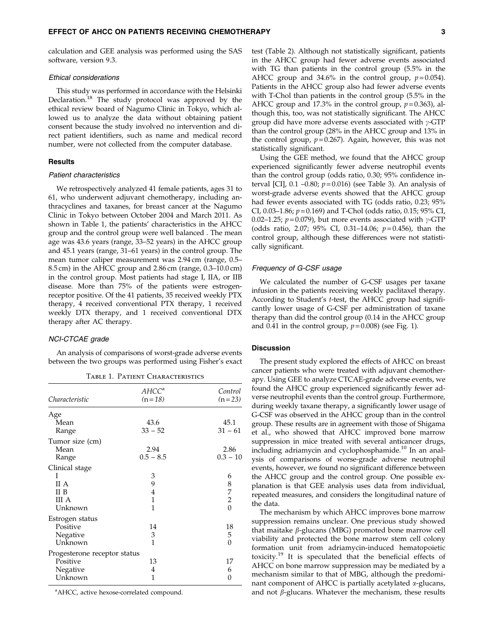calculation and GEE analysis was performed using the SAS software, version 9.3.

## Ethical considerations

This study was performed in accordance with the Helsinki Declaration.<sup>18</sup> The study protocol was approved by the ethical review board of Nagumo Clinic in Tokyo, which allowed us to analyze the data without obtaining patient consent because the study involved no intervention and direct patient identifiers, such as name and medical record number, were not collected from the computer database.

#### **Results**

## Patient characteristics

We retrospectively analyzed 41 female patients, ages 31 to 61, who underwent adjuvant chemotherapy, including anthracyclines and taxanes, for breast cancer at the Nagumo Clinic in Tokyo between October 2004 and March 2011. As shown in Table 1, the patients' characteristics in the AHCC group and the control group were well balanced . The mean age was 43.6 years (range, 33–52 years) in the AHCC group and 45.1 years (range, 31–61 years) in the control group. The mean tumor caliper measurement was 2.94 cm (range, 0.5– 8.5 cm) in the AHCC group and 2.86 cm (range, 0.3–10.0 cm) in the control group. Most patients had stage I, IIA, or IIB disease. More than 75% of the patients were estrogenreceptor positive. Of the 41 patients, 35 received weekly PTX therapy, 4 received conventional PTX therapy, 1 received weekly DTX therapy, and 1 received conventional DTX therapy after AC therapy.

#### NCI-CTCAE grade

An analysis of comparisons of worst-grade adverse events between the two groups was performed using Fisher's exact

| TABLE 1. PATIENT CHARACTERISTICS |
|----------------------------------|
|                                  |

|                              | AHCCª          | Control        |
|------------------------------|----------------|----------------|
| Characteristic               | $(n=18)$       | $(n=23)$       |
| Age                          |                |                |
| Mean                         | 43.6           | 45.1           |
| Range                        | $33 - 52$      | $31 - 61$      |
| Tumor size (cm)              |                |                |
| Mean                         | 2.94           | 2.86           |
| Range                        | $0.5 - 8.5$    | $0.3 - 10$     |
| Clinical stage               |                |                |
| Ι                            | 3              | 6              |
| II A                         | 9              |                |
| II B                         | $\overline{4}$ | 8720           |
| III A                        | $\mathbf{1}$   |                |
| Unknown                      | 1              |                |
| Estrogen status              |                |                |
| Positive                     | 14             | 18             |
| Negative                     | 3              | 5              |
| Unknown                      | 1              | $\overline{0}$ |
| Progesterone receptor status |                |                |
| Positive                     | 13             | 17             |
| Negative                     | 4              | 6              |
| Unknown                      | 1              | 0              |

<sup>a</sup> AHCC, active hexose-correlated compound.

test (Table 2). Although not statistically significant, patients in the AHCC group had fewer adverse events associated with TG than patients in the control group (5.5% in the AHCC group and 34.6% in the control group,  $p = 0.054$ ). Patients in the AHCC group also had fewer adverse events with T-Chol than patients in the control group (5.5% in the AHCC group and 17.3% in the control group,  $p=0.363$ ), although this, too, was not statistically significant. The AHCC group did have more adverse events associated with  $\gamma$ -GTP than the control group (28% in the AHCC group and 13% in the control group,  $p=0.267$ ). Again, however, this was not statistically significant.

Using the GEE method, we found that the AHCC group experienced significantly fewer adverse neutrophil events than the control group (odds ratio, 0.30; 95% confidence interval [CI],  $0.1 - 0.80$ ;  $p = 0.016$ ) (see Table 3). An analysis of worst-grade adverse events showed that the AHCC group had fewer events associated with TG (odds ratio, 0.23; 95% CI, 0.03–1.86;  $p = 0.169$ ) and T-Chol (odds ratio, 0.15; 95% CI, 0.02–1.25;  $p = 0.079$ ), but more events associated with  $\gamma$ -GTP (odds ratio, 2.07; 95% CI, 0.31-14.06;  $p=0.456$ ), than the control group, although these differences were not statistically significant.

#### Frequency of G-CSF usage

We calculated the number of G-CSF usages per taxane infusion in the patients receiving weekly paclitaxel therapy. According to Student's t-test, the AHCC group had significantly lower usage of G-CSF per administration of taxane therapy than did the control group (0.14 in the AHCC group and 0.41 in the control group,  $p=0.008$ ) (see Fig. 1).

## Discussion

The present study explored the effects of AHCC on breast cancer patients who were treated with adjuvant chemotherapy. Using GEE to analyze CTCAE-grade adverse events, we found the AHCC group experienced significantly fewer adverse neutrophil events than the control group. Furthermore, during weekly taxane therapy, a significantly lower usage of G-CSF was observed in the AHCC group than in the control group. These results are in agreement with those of Shigama et al., who showed that AHCC improved bone marrow suppression in mice treated with several anticancer drugs, including adriamycin and cyclophosphamide.<sup>10</sup> In an analysis of comparisons of worse-grade adverse neutrophil events, however, we found no significant difference between the AHCC group and the control group. One possible explanation is that GEE analysis uses data from individual, repeated measures, and considers the longitudinal nature of the data.

The mechanism by which AHCC improves bone marrow suppression remains unclear. One previous study showed that maitake  $\beta$ -glucans (MBG) promoted bone marrow cell viability and protected the bone marrow stem cell colony formation unit from adriamycin-induced hematopoietic toxicity.<sup>19</sup> It is speculated that the beneficial effects of AHCC on bone marrow suppression may be mediated by a mechanism similar to that of MBG, although the predominant component of AHCC is partially acetylated  $\alpha$ -glucans, and not  $\beta$ -glucans. Whatever the mechanism, these results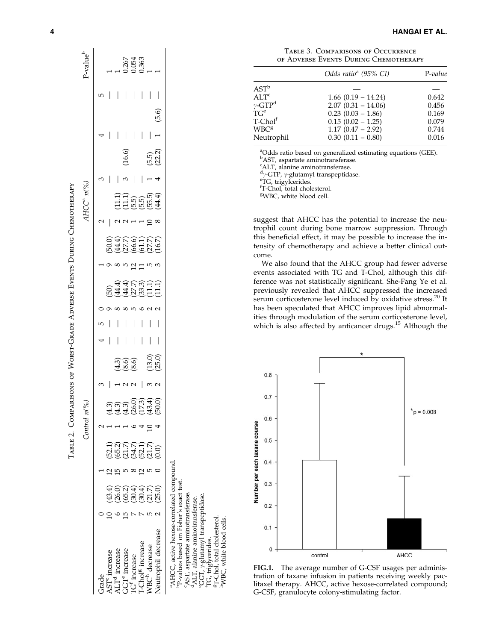|                                                                                                                                                                                                                                                                               |                               |                        | Control i | $n(^{9}/_{o})$                          |                  |   |   |                                    |                                       |                                 | AHCC <sup>a</sup> n (%)                            |   |                     |       |                          | P-value <sup>b</sup>         |
|-------------------------------------------------------------------------------------------------------------------------------------------------------------------------------------------------------------------------------------------------------------------------------|-------------------------------|------------------------|-----------|-----------------------------------------|------------------|---|---|------------------------------------|---------------------------------------|---------------------------------|----------------------------------------------------|---|---------------------|-------|--------------------------|------------------------------|
| Grade                                                                                                                                                                                                                                                                         |                               |                        |           |                                         |                  |   |   |                                    |                                       |                                 |                                                    |   |                     |       | ഥ                        |                              |
|                                                                                                                                                                                                                                                                               | (43.4)                        |                        |           |                                         |                  |   |   |                                    |                                       |                                 |                                                    |   |                     |       |                          |                              |
|                                                                                                                                                                                                                                                                               |                               |                        |           |                                         |                  |   | I |                                    |                                       |                                 |                                                    |   |                     | I     | I                        |                              |
| $\begin{array}{l} \mathrm{AST} \text{ increase}\\ \mathrm{ALT} \text{ increase}\\ \mathrm{GGT} \text{ increase}\\ \mathrm{TC} \text{ increase}\\ \mathrm{TC} \text{ increase}\\ \mathrm{T}\text{-Chol} \text{B} \text{ increase}\\ \mathrm{WBC} \text{ decrease} \end{array}$ |                               |                        |           |                                         | 4.30<br>4.8.6    |   | I |                                    | $\infty$ in $\frac{1}{2}$ in $\infty$ |                                 |                                                    |   | (16.6)              | I     | I                        |                              |
|                                                                                                                                                                                                                                                                               |                               |                        |           |                                         |                  | I | I |                                    |                                       |                                 |                                                    | I |                     | I     |                          | 0.267<br>0.054<br>0.363<br>1 |
|                                                                                                                                                                                                                                                                               |                               |                        |           |                                         |                  |   |   |                                    |                                       |                                 |                                                    |   |                     |       |                          |                              |
|                                                                                                                                                                                                                                                                               |                               |                        |           |                                         |                  |   |   |                                    |                                       |                                 |                                                    |   |                     |       | $\overline{\phantom{a}}$ |                              |
| Jeutrophil decrease                                                                                                                                                                                                                                                           | ិ<br>8.3 4 5 6<br>8.9 8 5 8 8 | 53<br>535535<br>535556 |           | 3)<br>13) 3003<br>141053400<br>14105400 | (13.0)<br>(25.0) |   |   | 594353311<br>544553111<br>54403111 |                                       | 64669165<br>64669165<br>6466616 | (111)<br>(111)<br>(111)<br>(111)<br>(111)<br>(544) |   | $(5.5)$<br>$(22.2)$ | (5.6) |                          |                              |

| I<br>֠<br>$\overline{\phantom{a}}$                            |
|---------------------------------------------------------------|
|                                                               |
| $\frac{1}{1}$<br>l<br>ļ<br>֚֘֝                                |
| l                                                             |
| ֠<br>ţ<br>l                                                   |
| 1                                                             |
| <br> <br> <br> <br>ׇ֚֘֝֬<br>Í<br>ׇ֚֘                          |
|                                                               |
| ֠<br>ı<br>$\overline{\phantom{a}}$                            |
| ׇ֚֘<br>l<br>$\overline{a}$                                    |
| Ì                                                             |
| <br> <br> <br>֠                                               |
| $\frac{1}{1}$<br>$\overline{\phantom{a}}$<br>.<br>.<br>.<br>I |
|                                                               |
| Ó<br>ו<br>ו<br>l<br>I<br>֘֝֬                                  |
|                                                               |

p-values based on Fisher's exact test. bP-values based on Fisher's exact test.

cAST, aspartate aminotransferase.

 $\rm ^6AST,$  aspartate aminot<br>ransferase.  $\rm ^dALT,$  alanine aminot<br>ransferase. dALT, alanine aminotransferase.

<sup>e</sup>GGT, y-glutamyl transpeptidase.

eGGT, <sub>7</sub>-glutamyl transpeptidase.<br><sup>f</sup>TG, triglycerides. <sup>8</sup>T-Chol, total cholesterol. gT-Chol, total cholesterol. <sup>1</sup>TG, triglycerides.

hWBC, white blood cells.

<sup>h</sup>WBC, white blood cells.

of Adverse Events During Chemotherapy

|                                         | Odds ratio <sup>a</sup> (95% CI) | P-value |
|-----------------------------------------|----------------------------------|---------|
| $\operatorname{AST}^{\operatorname{b}}$ |                                  |         |
| AI.T <sup>c</sup>                       | $1.66$ (0.19 – 14.24)            | 0.642   |
| $\gamma$ -GTP $^{\rm d}$                | $2.07(0.31 - 14.06)$             | 0.456   |
| $T G^e$                                 | $0.23(0.03-1.86)$                | 0.169   |
| T-Chol‡                                 | $0.15(0.02 - 1.25)$              | 0.079   |
| WBC <sup>g</sup>                        | $1.17(0.47 - 2.92)$              | 0.744   |
| Neutrophil                              | $0.30(0.11 - 0.80)$              | 0.016   |
|                                         |                                  |         |

Table 3. Comparisons of Occurrence

<sup>a</sup>Odds ratio based on generalized estimating equations (GEE).

<sup>b</sup>AST, aspartate aminotransferase.

<sup>c</sup>ALT, alanine aminotransferase.<br><sup>d</sup>y-GTP, y-glutamyl transpeptidase.<br><sup>eTC</sup>, trigylcerides

<sup>e</sup>TG, trigylcerides.

f T-Chol, total cholesterol.

<sup>g</sup>WBC, white blood cell.

suggest that AHCC has the potential to increase the neutrophil count during bone marrow suppression. Through this beneficial effect, it may be possible to increase the intensity of chemotherapy and achieve a better clinical outcome.

We also found that the AHCC group had fewer adverse events associated with TG and T-Chol, although this difference was not statistically significant. She-Fang Ye et al. previously revealed that AHCC suppressed the increased serum corticosterone level induced by oxidative stress.<sup>20</sup> It has been speculated that AHCC improves lipid abnormalities through modulation of the serum corticosterone level, which is also affected by anticancer drugs.<sup>15</sup> Although the



FIG.1. The average number of G-CSF usages per administration of taxane infusion in patients receiving weekly paclitaxel therapy. AHCC, active hexose-correlated compound; G-CSF, granulocyte colony-stimulating factor.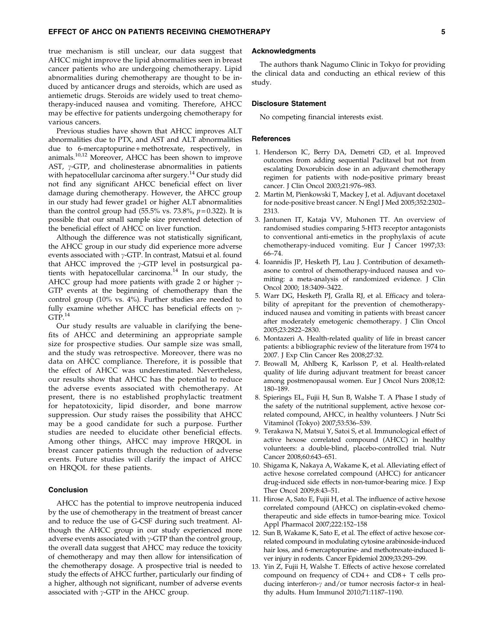true mechanism is still unclear, our data suggest that AHCC might improve the lipid abnormalities seen in breast cancer patients who are undergoing chemotherapy. Lipid abnormalities during chemotherapy are thought to be induced by anticancer drugs and steroids, which are used as antiemetic drugs. Steroids are widely used to treat chemotherapy-induced nausea and vomiting. Therefore, AHCC may be effective for patients undergoing chemotherapy for various cancers.

Previous studies have shown that AHCC improves ALT abnormalities due to PTX, and AST and ALT abnormalities due to 6-mercaptopurine + methotrexate, respectively, in animals.10,12 Moreover, AHCC has been shown to improve AST,  $\gamma$ -GTP, and cholinesterase abnormalities in patients with hepatocellular carcinoma after surgery.<sup>14</sup> Our study did not find any significant AHCC beneficial effect on liver damage during chemotherapy. However, the AHCC group in our study had fewer grade1 or higher ALT abnormalities than the control group had  $(55.5\% \text{ vs. } 73.8\%, p=0.322)$ . It is possible that our small sample size prevented detection of the beneficial effect of AHCC on liver function.

Although the difference was not statistically significant, the AHCC group in our study did experience more adverse events associated with  $\gamma$ -GTP. In contrast, Matsui et al. found that AHCC improved the  $\gamma$ -GTP level in postsurgical patients with hepatocellular carcinoma.<sup>14</sup> In our study, the AHCC group had more patients with grade 2 or higher  $\gamma$ -GTP events at the beginning of chemotherapy than the control group (10% vs. 4%). Further studies are needed to fully examine whether AHCC has beneficial effects on  $\gamma$ - $GTP.<sup>14</sup>$ 

Our study results are valuable in clarifying the benefits of AHCC and determining an appropriate sample size for prospective studies. Our sample size was small, and the study was retrospective. Moreover, there was no data on AHCC compliance. Therefore, it is possible that the effect of AHCC was underestimated. Nevertheless, our results show that AHCC has the potential to reduce the adverse events associated with chemotherapy. At present, there is no established prophylactic treatment for hepatotoxicity, lipid disorder, and bone marrow suppression. Our study raises the possibility that AHCC may be a good candidate for such a purpose. Further studies are needed to elucidate other beneficial effects. Among other things, AHCC may improve HRQOL in breast cancer patients through the reduction of adverse events. Future studies will clarify the impact of AHCC on HRQOL for these patients.

#### Conclusion

AHCC has the potential to improve neutropenia induced by the use of chemotherapy in the treatment of breast cancer and to reduce the use of G-CSF during such treatment. Although the AHCC group in our study experienced more adverse events associated with  $\gamma$ -GTP than the control group, the overall data suggest that AHCC may reduce the toxicity of chemotherapy and may then allow for intensification of the chemotherapy dosage. A prospective trial is needed to study the effects of AHCC further, particularly our finding of a higher, although not significant, number of adverse events associated with  $\gamma$ -GTP in the AHCC group.

## Acknowledgments

The authors thank Nagumo Clinic in Tokyo for providing the clinical data and conducting an ethical review of this study.

#### Disclosure Statement

No competing financial interests exist.

#### References

- 1. Henderson IC, Berry DA, Demetri GD, et al. Improved outcomes from adding sequential Paclitaxel but not from escalating Doxorubicin dose in an adjuvant chemotherapy regimen for patients with node-positive primary breast cancer. J Clin Oncol 2003;21:976–983.
- 2. Martin M, Pienkowski T, Mackey J, et al. Adjuvant docetaxel for node-positive breast cancer. N Engl J Med 2005;352:2302– 2313.
- 3. Jantunen IT, Kataja VV, Muhonen TT. An overview of randomised studies comparing 5-HT3 receptor antagonists to conventional anti-emetics in the prophylaxis of acute chemotherapy-induced vomiting. Eur J Cancer 1997;33: 66–74.
- 4. Ioannidis JP, Hesketh PJ, Lau J. Contribution of dexamethasone to control of chemotherapy-induced nausea and vomiting: a meta-analysis of randomized evidence. J Clin Oncol 2000; 18:3409–3422.
- 5. Warr DG, Hesketh PJ, Gralla RJ, et al. Efficacy and tolerability of aprepitant for the prevention of chemotherapyinduced nausea and vomiting in patients with breast cancer after moderately emetogenic chemotherapy. J Clin Oncol 2005;23:2822–2830.
- 6. Montazeri A. Health-related quality of life in breast cancer patients: a bibliographic review of the literature from 1974 to 2007. J Exp Clin Cancer Res 2008;27:32.
- 7. Browall M, Ahlberg K, Karlsson P, et al. Health-related quality of life during adjuvant treatment for breast cancer among postmenopausal women. Eur J Oncol Nurs 2008;12: 180–189.
- 8. Spierings EL, Fujii H, Sun B, Walshe T. A Phase I study of the safety of the nutritional supplement, active hexose correlated compound, AHCC, in healthy volunteers. J Nutr Sci Vitaminol (Tokyo) 2007;53:536–539.
- 9. Terakawa N, Matsui Y, Satoi S, et al. Immunological effect of active hexose correlated compound (AHCC) in healthy volunteers: a double-blind, placebo-controlled trial. Nutr Cancer 2008;60:643–651.
- 10. Shigama K, Nakaya A, Wakame K, et al. Alleviating effect of active hexose correlated compound (AHCC) for anticancer drug-induced side effects in non-tumor-bearing mice. J Exp Ther Oncol 2009;8:43–51.
- 11. Hirose A, Sato E, Fujii H, et al. The influence of active hexose correlated compound (AHCC) on cisplatin-evoked chemotherapeutic and side effects in tumor-bearing mice. Toxicol Appl Pharmacol 2007;222:152–158
- 12. Sun B, Wakame K, Sato E, et al. The effect of active hexose correlated compound in modulating cytosine arabinoside-induced hair loss, and 6-mercaptopurine- and methotrexate-induced liver injury in rodents. Cancer Epidemiol 2009;33:293–299.
- 13. Yin Z, Fujii H, Walshe T. Effects of active hexose correlated compound on frequency of  $CD4+$  and  $CD8+$  T cells producing interferon- $\gamma$  and/or tumor necrosis factor- $\alpha$  in healthy adults. Hum Immunol 2010;71:1187–1190.